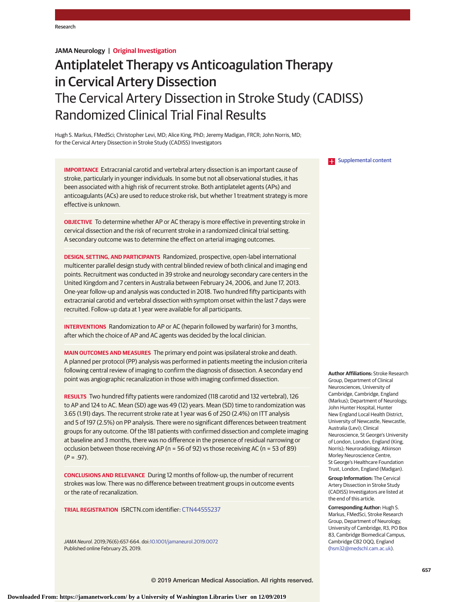# **JAMA Neurology | Original Investigation**

# Antiplatelet Therapy vs Anticoagulation Therapy in Cervical Artery Dissection The Cervical Artery Dissection in Stroke Study (CADISS) Randomized Clinical Trial Final Results

Hugh S. Markus, FMedSci; Christopher Levi, MD; Alice King, PhD; Jeremy Madigan, FRCR; John Norris, MD; for the Cervical Artery Dissection in Stroke Study (CADISS) Investigators

**IMPORTANCE** Extracranial carotid and vertebral artery dissection is an important cause of stroke, particularly in younger individuals. In some but not all observational studies, it has been associated with a high risk of recurrent stroke. Both antiplatelet agents (APs) and anticoagulants (ACs) are used to reduce stroke risk, but whether 1 treatment strategy is more effective is unknown.

**OBJECTIVE** To determine whether AP or AC therapy is more effective in preventing stroke in cervical dissection and the risk of recurrent stroke in a randomized clinical trial setting. A secondary outcome was to determine the effect on arterial imaging outcomes.

**DESIGN, SETTING, AND PARTICIPANTS** Randomized, prospective, open-label international multicenter parallel design study with central blinded review of both clinical and imaging end points. Recruitment was conducted in 39 stroke and neurology secondary care centers in the United Kingdom and 7 centers in Australia between February 24, 2006, and June 17, 2013. One-year follow-up and analysis was conducted in 2018. Two hundred fifty participants with extracranial carotid and vertebral dissection with symptom onset within the last 7 days were recruited. Follow-up data at 1 year were available for all participants.

**INTERVENTIONS** Randomization to AP or AC (heparin followed by warfarin) for 3 months, after which the choice of AP and AC agents was decided by the local clinician.

**MAIN OUTCOMES AND MEASURES** The primary end point was ipsilateral stroke and death. A planned per protocol (PP) analysis was performed in patients meeting the inclusion criteria following central review of imaging to confirm the diagnosis of dissection. A secondary end point was angiographic recanalization in those with imaging confirmed dissection.

**RESULTS** Two hundred fifty patients were randomized (118 carotid and 132 vertebral), 126 to AP and 124 to AC. Mean (SD) age was 49 (12) years. Mean (SD) time to randomization was 3.65 (1.91) days. The recurrent stroke rate at 1 year was 6 of 250 (2.4%) on ITT analysis and 5 of 197 (2.5%) on PP analysis. There were no significant differences between treatment groups for any outcome. Of the 181 patients with confirmed dissection and complete imaging at baseline and 3 months, there was no difference in the presence of residual narrowing or occlusion between those receiving AP (n = 56 of 92) vs those receiving AC (n = 53 of 89)  $(P = .97)$ .

**CONCLUSIONS AND RELEVANCE** During 12 months of follow-up, the number of recurrent strokes was low. There was no difference between treatment groups in outcome events or the rate of recanalization.

**TRIAL REGISTRATION** ISRCTN.com identifier: [CTN44555237](http://www.isrctn.com/ISRCTN44555237)

JAMA Neurol. 2019;76(6):657-664. doi[:10.1001/jamaneurol.2019.0072](https://jama.jamanetwork.com/article.aspx?doi=10.1001/jamaneurol.2019.0072&utm_campaign=articlePDF%26utm_medium=articlePDFlink%26utm_source=articlePDF%26utm_content=jamaneurol.2019.0072) Published online February 25, 2019.

**Examplemental content** 

**Author Affiliations:** Stroke Research Group, Department of Clinical Neurosciences, University of Cambridge, Cambridge, England (Markus); Department of Neurology, John Hunter Hospital, Hunter New England Local Health District, University of Newcastle, Newcastle, Australia (Levi); Clinical Neuroscience, St George's University of London, London, England (King, Norris); Neuroradiology, Atkinson Morley Neuroscience Centre, St George's Healthcare Foundation Trust, London, England (Madigan).

**Group Information:** The Cervical Artery Dissection in Stroke Study (CADISS) Investigators are listed at the end of this article.

**Corresponding Author:** Hugh S. Markus, FMedSci, Stroke Research Group, Department of Neurology, University of Cambridge, R3, PO Box 83, Cambridge Biomedical Campus, Cambridge CB2 0QQ, England [\(hsm32@medschl.cam.ac.uk\)](mailto:hsm32@medschl.cam.ac.uk).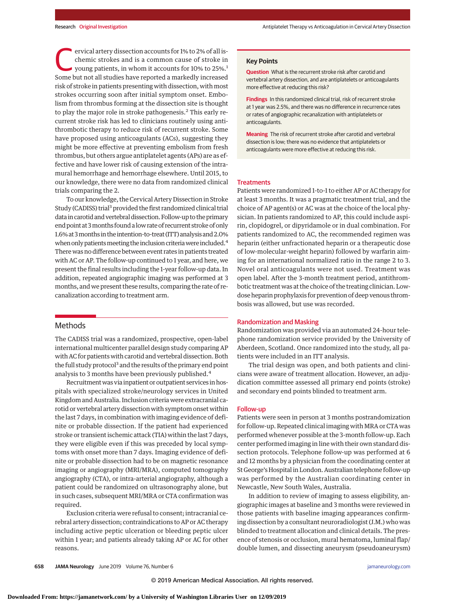ervical artery dissection accounts for 1% to 2% of all is-<br>chemic strokes and is a common cause of stroke in<br>young patients, in whom it accounts for 10% to 25%.<sup>1</sup><br>Some but not all studies have reported a markedly increase chemic strokes and is a common cause of stroke in Some but not all studies have reported a markedly increased risk of stroke in patients presenting with dissection, with most strokes occurring soon after initial symptom onset. Embolism from thrombus forming at the dissection site is thought to play the major role in stroke pathogenesis.<sup>2</sup> This early recurrent stroke risk has led to clinicians routinely using antithrombotic therapy to reduce risk of recurrent stroke. Some have proposed using anticoagulants (ACs), suggesting they might be more effective at preventing embolism from fresh thrombus, but others argue antiplatelet agents (APs) are as effective and have lower risk of causing extension of the intramural hemorrhage and hemorrhage elsewhere. Until 2015, to our knowledge, there were no data from randomized clinical trials comparing the 2.

To our knowledge, the Cervical Artery Dissection in Stroke Study (CADISS) trial<sup>3</sup> provided the first randomized clinical trial data in carotid and vertebral dissection. Follow-up to the primary end point at 3months found a low rate of recurrent stroke of only 1.6% at 3months in the intention-to-treat (ITT) analysis and 2.0% when only patients meeting the inclusion criteria were included.<sup>4</sup> There was no difference between event rates in patients treated with AC or AP. The follow-up continued to 1 year, and here, we present the final results including the 1-year follow-up data. In addition, repeated angiographic imaging was performed at 3 months, and we present these results, comparing the rate of recanalization according to treatment arm.

# Methods

The CADISS trial was a randomized, prospective, open-label international multicenter parallel design study comparing AP with AC for patients with carotid and vertebral dissection. Both the full study protocol<sup>3</sup> and the results of the primary end point analysis to 3 months have been previously published.<sup>4</sup>

Recruitment was via inpatient or outpatient services in hospitals with specialized stroke/neurology services in United Kingdom and Australia. Inclusion criteria were extracranial carotid or vertebral artery dissection with symptom onset within the last 7 days, in combination with imaging evidence of definite or probable dissection. If the patient had experienced stroke or transient ischemic attack (TIA) within the last 7 days, they were eligible even if this was preceded by local symptoms with onset more than 7 days. Imaging evidence of definite or probable dissection had to be on magnetic resonance imaging or angiography (MRI/MRA), computed tomography angiography (CTA), or intra-arterial angiography, although a patient could be randomized on ultrasonography alone, but in such cases, subsequent MRI/MRA or CTA confirmation was required.

Exclusion criteria were refusal to consent; intracranial cerebral artery dissection; contraindications to AP or AC therapy including active peptic ulceration or bleeding peptic ulcer within 1 year; and patients already taking AP or AC for other reasons.

# **Key Points**

**Question** What is the recurrent stroke risk after carotid and vertebral artery dissection, and are antiplatelets or anticoagulants more effective at reducing this risk?

**Findings** In this randomized clinical trial, risk of recurrent stroke at 1 year was 2.5%, and there was no difference in recurrence rates or rates of angiographic recanalization with antiplatelets or anticoagulants.

**Meaning** The risk of recurrent stroke after carotid and vertebral dissection is low; there was no evidence that antiplatelets or anticoagulants were more effective at reducing this risk.

### **Treatments**

Patients were randomized 1-to-1 to either AP or AC therapy for at least 3 months. It was a pragmatic treatment trial, and the choice of AP agent(s) or AC was at the choice of the local physician. In patients randomized to AP, this could include aspirin, clopidogrel, or dipyridamole or in dual combination. For patients randomized to AC, the recommended regimen was heparin (either unfractionated heparin or a therapeutic dose of low-molecular-weight heparin) followed by warfarin aiming for an international normalized ratio in the range 2 to 3. Novel oral anticoagulants were not used. Treatment was open label. After the 3-month treatment period, antithrombotic treatment was at the choice of the treating clinician. Lowdose heparin prophylaxis for prevention of deep venous thrombosis was allowed, but use was recorded.

#### Randomization and Masking

Randomization was provided via an automated 24-hour telephone randomization service provided by the University of Aberdeen, Scotland. Once randomized into the study, all patients were included in an ITT analysis.

The trial design was open, and both patients and clinicians were aware of treatment allocation. However, an adjudication committee assessed all primary end points (stroke) and secondary end points blinded to treatment arm.

## Follow-up

Patients were seen in person at 3 months postrandomization for follow-up. Repeated clinical imaging with MRA or CTA was performed whenever possible at the 3-month follow-up. Each center performed imaging in line with their own standard dissection protocols. Telephone follow-up was performed at 6 and 12 months by a physician from the coordinating center at St George's Hospital in London. Australian telephone follow-up was performed by the Australian coordinating center in Newcastle, New South Wales, Australia.

In addition to review of imaging to assess eligibility, angiographic images at baseline and 3 months were reviewed in those patients with baseline imaging appearances confirming dissection by a consultant neuroradiologist (J.M.) who was blinded to treatment allocation and clinical details. The presence of stenosis or occlusion, mural hematoma, luminal flap/ double lumen, and dissecting aneurysm (pseudoaneurysm)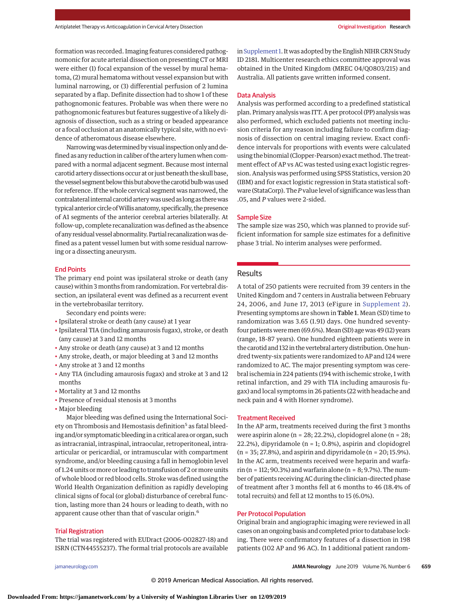formation was recorded. Imaging features considered pathognomonic for acute arterial dissection on presenting CT or MRI were either (1) focal expansion of the vessel by mural hematoma, (2) mural hematoma without vessel expansion but with luminal narrowing, or (3) differential perfusion of 2 lumina separated by a flap. Definite dissection had to show 1 of these pathognomonic features. Probable was when there were no pathognomonic features but features suggestive of a likely diagnosis of dissection, such as a string or beaded appearance or a focal occlusion at an anatomically typical site, with no evidence of atheromatous disease elsewhere.

Narrowing was determined by visual inspection only and defined as any reduction in caliber of the artery lumen when compared with a normal adjacent segment. Because most internal carotid artery dissections occur at orjust beneath the skull base, the vessel segment below this but above the carotid bulb was used for reference. If the whole cervical segment was narrowed, the contralateral internal carotid artery was used as long as there was typical anterior circle of Willis anatomy, specifically, the presence of A1 segments of the anterior cerebral arteries bilaterally. At follow-up, complete recanalization was defined as the absence of any residual vessel abnormality. Partial recanalizationwas defined as a patent vessel lumen but with some residual narrowing or a dissecting aneurysm.

## End Points

The primary end point was ipsilateral stroke or death (any cause) within 3months from randomization. For vertebral dissection, an ipsilateral event was defined as a recurrent event in the vertebrobasilar territory.

Secondary end points were:

- Ipsilateral stroke or death (any cause) at 1 year
- Ipsilateral TIA (including amaurosis fugax), stroke, or death (any cause) at 3 and 12 months
- Any stroke or death (any cause) at 3 and 12 months
- Any stroke, death, or major bleeding at 3 and 12 months
- Any stroke at 3 and 12 months
- Any TIA (including amaurosis fugax) and stroke at 3 and 12 months
- Mortality at 3 and 12 months
- Presence of residual stenosis at 3 months
- Major bleeding

Major bleeding was defined using the International Society on Thrombosis and Hemostasis definition<sup>5</sup> as fatal bleeding and/or symptomatic bleeding in a critical area or organ, such as intracranial, intraspinal, intraocular, retroperitoneal, intraarticular or pericardial, or intramuscular with compartment syndrome, and/or bleeding causing a fall in hemoglobin level of 1.24 units ormore or leading to transfusion of 2 ormore units of whole blood or red blood cells. Stroke was defined using the World Health Organization definition as rapidly developing clinical signs of focal (or global) disturbance of cerebral function, lasting more than 24 hours or leading to death, with no apparent cause other than that of vascular origin.<sup>6</sup>

## Trial Registration

The trial was registered with EUDract (2006-002827-18) and ISRN (CTN44555237). The formal trial protocols are available

in Supplement 1. It was adopted by the English NIHR CRN Study ID 2181. Multicenter research ethics committee approval was obtained in the United Kingdom (MREC 04/Q0803/215) and Australia. All patients gave written informed consent.

## Data Analysis

Analysis was performed according to a predefined statistical plan. Primary analysis was ITT. A per protocol (PP) analysis was also performed, which excluded patients not meeting inclusion criteria for any reason including failure to confirm diagnosis of dissection on central imaging review. Exact confidence intervals for proportions with events were calculated using the binomial (Clopper-Pearson) exact method. The treatment effect of AP vs AC was tested using exact logistic regression. Analysis was performed using SPSS Statistics, version 20 (IBM) and for exact logistic regression in Stata statistical software (StataCorp). The*P*value level of significance was less than .05, and *P* values were 2-sided.

## Sample Size

The sample size was 250, which was planned to provide sufficient information for sample size estimates for a definitive phase 3 trial. No interim analyses were performed.

# Results

A total of 250 patients were recruited from 39 centers in the United Kingdom and 7 centers in Australia between February 24, 2006, and June 17, 2013 (eFigure in [Supplement 2\)](https://jama.jamanetwork.com/article.aspx?doi=10.1001/jamaneurol.2019.0072&utm_campaign=articlePDF%26utm_medium=articlePDFlink%26utm_source=articlePDF%26utm_content=jamaneurol.2019.0072). Presenting symptoms are shown in Table 1. Mean (SD) time to randomization was 3.65 (1.91) days. One hundred seventyfour patients were men (69.6%). Mean (SD) age was 49 (12) years (range, 18-87 years). One hundred eighteen patients were in the carotid and 132 in the vertebral artery distribution. One hundred twenty-six patients were randomized to AP and 124 were randomized to AC. The major presenting symptom was cerebral ischemia in 224 patients (194 with ischemic stroke, 1 with retinal infarction, and 29 with TIA including amaurosis fugax) and local symptoms in 26 patients (22 with headache and neck pain and 4 with Horner syndrome).

# Treatment Received

In the AP arm, treatments received during the first 3 months were aspirin alone (n = 28; 22.2%), clopidogrel alone (n = 28; 22.2%), dipyridamole (n = 1; 0.8%), aspirin and clopidogrel (n = 35; 27.8%), and aspirin and dipyridamole (n = 20; 15.9%). In the AC arm, treatments received were heparin and warfarin (n = 112; 90.3%) and warfarin alone (n =  $8$ ; 9.7%). The number of patients receiving AC during the clinician-directed phase of treatment after 3 months fell at 6 months to 46 (18.4% of total recruits) and fell at 12 months to 15 (6.0%).

# Per Protocol Population

Original brain and angiographic imaging were reviewed in all cases on an ongoing basis and completed prior to database locking. There were confirmatory features of a dissection in 198 patients (102 AP and 96 AC). In 1 additional patient random-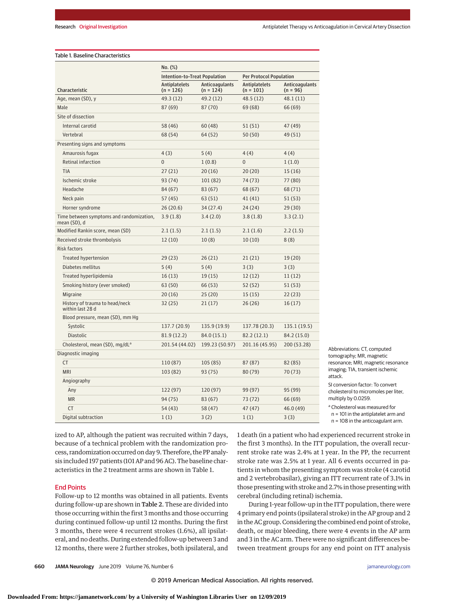# Table 1. Baseline Characteristics

|                                                          | No. (%)                             |                                      |                                     |                                     |  |
|----------------------------------------------------------|-------------------------------------|--------------------------------------|-------------------------------------|-------------------------------------|--|
|                                                          | Intention-to-Treat Population       |                                      | <b>Per Protocol Population</b>      |                                     |  |
| Characteristic                                           | <b>Antiplatelets</b><br>$(n = 126)$ | <b>Anticoagulants</b><br>$(n = 124)$ | <b>Antiplatelets</b><br>$(n = 101)$ | <b>Anticoagulants</b><br>$(n = 96)$ |  |
| Age, mean (SD), y                                        | 49.3 (12)                           | 49.2 (12)                            | 48.5 (12)                           | 48.1(11)                            |  |
| Male                                                     | 87(69)                              | 87 (70)                              | 69 (68)                             | 66 (69)                             |  |
| Site of dissection                                       |                                     |                                      |                                     |                                     |  |
| Internal carotid                                         | 58 (46)                             | 60(48)                               | 51 (51)                             | 47 (49)                             |  |
| Vertebral                                                | 68 (54)                             | 64 (52)                              | 50(50)                              | 49 (51)                             |  |
| Presenting signs and symptoms                            |                                     |                                      |                                     |                                     |  |
| Amaurosis fugax                                          | 4(3)                                | 5(4)                                 | 4(4)                                | 4(4)                                |  |
| Retinal infarction                                       | $\overline{0}$                      | 1(0.8)                               | $\overline{0}$                      | 1(1.0)                              |  |
| <b>TIA</b>                                               | 27(21)                              | 20(16)                               | 20(20)                              | 15(16)                              |  |
| Ischemic stroke                                          | 93 (74)                             | 101 (82)                             | 74 (73)                             | 77 (80)                             |  |
| Headache                                                 | 84 (67)                             | 83(67)                               | 68 (67)                             | 68 (71)                             |  |
| Neck pain                                                | 57(45)                              | 63(51)                               | 41(41)                              | 51(53)                              |  |
| Horner syndrome                                          | 26(20.6)                            | 34(27.4)                             | 24 (24)                             | 29(30)                              |  |
| Time between symptoms and randomization,<br>mean (SD), d | 3.9(1.8)                            | 3.4(2.0)                             | 3.8(1.8)                            | 3.3(2.1)                            |  |
| Modified Rankin score, mean (SD)                         | 2.1(1.5)                            | 2.1(1.5)                             | 2.1(1.6)                            | 2.2(1.5)                            |  |
| Received stroke thrombolysis                             | 12(10)                              | 10(8)                                | 10(10)                              | 8(8)                                |  |
| <b>Risk factors</b>                                      |                                     |                                      |                                     |                                     |  |
| <b>Treated hypertension</b>                              | 29(23)                              | 26(21)                               | 21 (21)                             | 19(20)                              |  |
| Diabetes mellitus                                        | 5(4)                                | 5(4)                                 | 3(3)                                | 3(3)                                |  |
| Treated hyperlipidemia                                   | 16(13)                              | 19(15)                               | 12(12)                              | 11(12)                              |  |
| Smoking history (ever smoked)                            | 63 (50)                             | 66 (53)                              | 52 (52)                             | 51(53)                              |  |
| Migraine                                                 | 20(16)                              | 25(20)                               | 15(15)                              | 22(23)                              |  |
| History of trauma to head/neck<br>within last 28 d       | 32(25)                              | 21(17)                               | 26(26)                              | 16(17)                              |  |
| Blood pressure, mean (SD), mm Hg                         |                                     |                                      |                                     |                                     |  |
| Systolic                                                 | 137.7 (20.9)                        | 135.9 (19.9)                         | 137.78 (20.3)                       | 135.1 (19.5)                        |  |
| <b>Diastolic</b>                                         | 81.9 (12.2)                         | 84.0 (15.1)                          | 82.2 (12.1)                         | 84.2 (15.0)                         |  |
| Cholesterol, mean (SD), mg/dL <sup>a</sup>               | 201.54 (44.02)                      | 199.23 (50.97)                       | 201.16 (45.95)                      | 200 (53.28)                         |  |
| Diagnostic imaging                                       |                                     |                                      |                                     |                                     |  |
| <b>CT</b>                                                | 110 (87)                            | 105 (85)                             | 87 (87)                             | 82 (85)                             |  |
| <b>MRI</b>                                               | 103 (82)                            | 93(75)                               | 80 (79)                             | 70 (73)                             |  |
| Angiography                                              |                                     |                                      |                                     |                                     |  |
| Any                                                      | 122 (97)                            | 120 (97)                             | 99 (97)                             | 95 (99)                             |  |
| <b>MR</b>                                                | 94 (75)                             | 83 (67)                              | 73 (72)                             | 66 (69)                             |  |
| <b>CT</b>                                                | 54 (43)                             | 58 (47)                              | 47 (47)                             | 46.0 (49)                           |  |
| Digital subtraction                                      | 1(1)                                | 3(2)                                 | 1(1)                                | 3(3)                                |  |

Abbreviations: CT, computed tomography; MR, magnetic resonance; MRI, magnetic resonance imaging; TIA, transient ischemic attack.

SI conversion factor: To convert cholesterol to micromoles per liter, multiply by 0.0259.

<sup>a</sup> Cholesterol was measured for

n = 101 in the antiplatelet arm and

n = 108 in the anticoagulant arm.

ized to AP, although the patient was recruited within 7 days, because of a technical problem with the randomization process, randomization occurred on day 9. Therefore, the PP analysis included 197 patients (101 AP and 96 AC). The baseline characteristics in the 2 treatment arms are shown in Table 1.

# End Points

Follow-up to 12 months was obtained in all patients. Events during follow-up are shown in Table 2. These are divided into those occurring within the first 3 months and those occurring during continued follow-up until 12 months. During the first 3 months, there were 4 recurrent strokes (1.6%), all ipsilateral, and no deaths. During extended follow-up between 3 and 12 months, there were 2 further strokes, both ipsilateral, and

1 death (in a patient who had experienced recurrent stroke in the first 3 months). In the ITT population, the overall recurrent stroke rate was 2.4% at 1 year. In the PP, the recurrent stroke rate was 2.5% at 1 year. All 6 events occurred in patients in whom the presenting symptom was stroke (4 carotid and 2 vertebrobasilar), giving an ITT recurrent rate of 3.1% in those presenting with stroke and 2.7% in those presenting with cerebral (including retinal) ischemia.

During 1-year follow-up in the ITT population, there were 4 primary end points (ipsilateral stroke) in the AP group and 2 in the AC group. Considering the combined end point of stroke, death, or major bleeding, there were 4 events in the AP arm and 3 in the AC arm. There were no significant differences between treatment groups for any end point on ITT analysis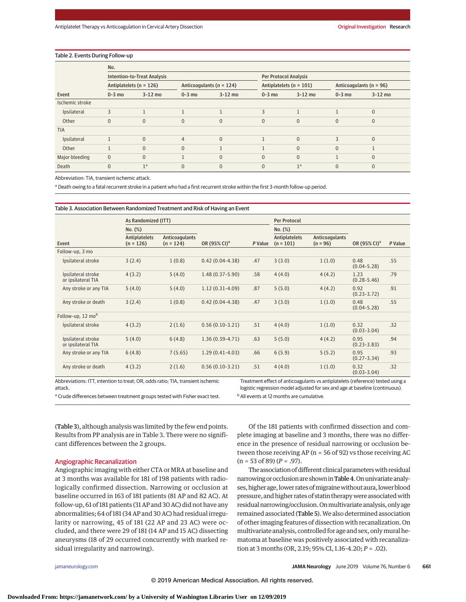#### Table 2. Events During Follow-up

|                 | No.          |                                    |                |                              |                             |                              |                         |           |  |  |
|-----------------|--------------|------------------------------------|----------------|------------------------------|-----------------------------|------------------------------|-------------------------|-----------|--|--|
|                 |              | <b>Intention-to-Treat Analysis</b> |                |                              |                             | <b>Per Protocol Analysis</b> |                         |           |  |  |
|                 |              | Antiplatelets ( $n = 126$ )        |                | Anticoagulants ( $n = 124$ ) | Antiplatelets ( $n = 101$ ) |                              | Anticoagulants (n = 96) |           |  |  |
| Event           | $0-3$ mo     | $3-12$ mo                          | $0-3$ mo       | $3-12$ mo                    | $0-3$ mo                    | $3-12$ mo                    | $0-3$ mo                | $3-12$ mo |  |  |
| Ischemic stroke |              |                                    |                |                              |                             |                              |                         |           |  |  |
| Ipsilateral     | 3            |                                    |                |                              | 3                           |                              |                         | $\Omega$  |  |  |
| Other           | $\mathbf{0}$ | $\mathbf{0}$                       | $\Omega$       | $\Omega$                     | $\Omega$                    | $\Omega$                     | $\Omega$                | $\Omega$  |  |  |
| <b>TIA</b>      |              |                                    |                |                              |                             |                              |                         |           |  |  |
| Ipsilateral     |              | $\mathbf{0}$                       | $\overline{4}$ | $\Omega$                     | $\overline{a}$              | $\Omega$                     | ξ                       | $\Omega$  |  |  |
| Other           |              | $\mathbf{0}$                       | $\Omega$       |                              |                             | $\Omega$                     | $\Omega$                |           |  |  |
| Major bleeding  | $\mathbf{0}$ | $\mathbf{0}$                       |                | $\Omega$                     | $\Omega$                    | $\Omega$                     |                         | $\Omega$  |  |  |
| Death           | $\Omega$     | 1 <sup>a</sup>                     | $\Omega$       | $\Omega$                     | $\Omega$                    | 1 <sup>a</sup>               | $\Omega$                |           |  |  |

Abbreviation: TIA, transient ischemic attack.

a Death owing to a fatal recurrent stroke in a patient who had a first recurrent stroke within the first 3-month follow-up period.

|                                          | As Randomized (ITT)                 |                                      |                          | Per Protocol |                                     |                                     |                          |         |
|------------------------------------------|-------------------------------------|--------------------------------------|--------------------------|--------------|-------------------------------------|-------------------------------------|--------------------------|---------|
| Event                                    | No. (%)                             |                                      |                          |              | No. (%)                             |                                     |                          |         |
|                                          | <b>Antiplatelets</b><br>$(n = 126)$ | <b>Anticoagulants</b><br>$(n = 124)$ | OR (95% CI) <sup>a</sup> | P Value      | <b>Antiplatelets</b><br>$(n = 101)$ | <b>Anticoagulants</b><br>$(n = 96)$ | OR (95% CI) <sup>a</sup> | P Value |
| Follow-up, 3 mo                          |                                     |                                      |                          |              |                                     |                                     |                          |         |
| Ipsilateral stroke                       | 3(2.4)                              | 1(0.8)                               | $0.42(0.04-4.38)$        | .47          | 3(3.0)                              | 1(1.0)                              | 0.48<br>$(0.04 - 5.28)$  | .55     |
| Ipsilateral stroke<br>or ipsilateral TIA | 4(3.2)                              | 5(4.0)                               | $1.48(0.37 - 5.90)$      | .58          | 4(4.0)                              | 4(4.2)                              | 1.23<br>$(0.28 - 5.46)$  | .79     |
| Any stroke or any TIA                    | 5(4.0)                              | 5(4.0)                               | $1.12(0.31-4.09)$        | .87          | 5(5.0)                              | 4(4.2)                              | 0.92<br>$(0.23 - 3.72)$  | .91     |
| Any stroke or death                      | 3(2.4)                              | 1(0.8)                               | $0.42(0.04-4.38)$        | .47          | 3(3.0)                              | 1(1.0)                              | 0.48<br>$(0.04 - 5.28)$  | .55     |
| Follow-up, 12 mob                        |                                     |                                      |                          |              |                                     |                                     |                          |         |
| Ipsilateral stroke                       | 4(3.2)                              | 2(1.6)                               | $0.56(0.10-3.21)$        | .51          | 4(4.0)                              | 1(1.0)                              | 0.32<br>$(0.03 - 3.04)$  | .32     |
| Ipsilateral stroke<br>or ipsilateral TIA | 5(4.0)                              | 6(4.8)                               | $1.36(0.39-4.71)$        | .63          | 5(5.0)                              | 4(4.2)                              | 0.95<br>$(0.23 - 3.83)$  | .94     |
| Any stroke or any TIA                    | 6(4.8)                              | 7(5.65)                              | $1.29(0.41-4.03)$        | .66          | 6(5.9)                              | 5(5.2)                              | 0.95<br>$(0.27 - 3.34)$  | .93     |
| Any stroke or death                      | 4(3.2)                              | 2(1.6)                               | $0.56(0.10-3.21)$        | .51          | 4(4.0)                              | 1(1.0)                              | 0.32<br>$(0.03 - 3.04)$  | .32     |

Abbreviations: ITT, intention to treat; OR, odds ratio; TIA, transient ischemic attack.

Treatment effect of anticoagulants vs antiplatelets (reference) tested using a logistic regression model adjusted for sex and age at baseline (continuous). <sup>b</sup> All events at 12 months are cumulative.

<sup>a</sup> Crude differences between treatment groups tested with Fisher exact test.

(Table 3), although analysis was limited by the few end points. Results from PP analysis are in Table 3. There were no significant differences between the 2 groups.

#### Angiographic Recanalization

Angiographic imaging with either CTA or MRA at baseline and at 3 months was available for 181 of 198 patients with radiologically confirmed dissection. Narrowing or occlusion at baseline occurred in 163 of 181 patients (81 AP and 82 AC). At follow-up, 61 of 181 patients (31 AP and 30 AC) did not have any abnormalities; 64 of 181 (34 AP and 30 AC) had residual irregularity or narrowing, 45 of 181 (22 AP and 23 AC) were occluded, and there were 29 of 181 (14 AP and 15 AC) dissecting aneurysms (18 of 29 occurred concurrently with marked residual irregularity and narrowing).

Of the 181 patients with confirmed dissection and complete imaging at baseline and 3 months, there was no difference in the presence of residual narrowing or occlusion between those receiving AP ( $n = 56$  of 92) vs those receiving AC (n = 53 of 89) (*P* = .97).

The association of different clinical parameters with residual narrowing or occlusion are shown in Table 4. On univariate analyses, higher age, lower rates of migraine without aura, lower blood pressure, and higher rates of statin therapy were associated with residual narrowing/occlusion. Onmultivariate analysis, only age remained associated (Table 5).We also determined association of other imaging features of dissection with recanalization. On multivariate analysis, controlled for age and sex, onlymural hematoma at baseline was positively associated with recanalization at 3 months (OR, 2.19; 95% CI, 1.16-4.20; *P* = .02).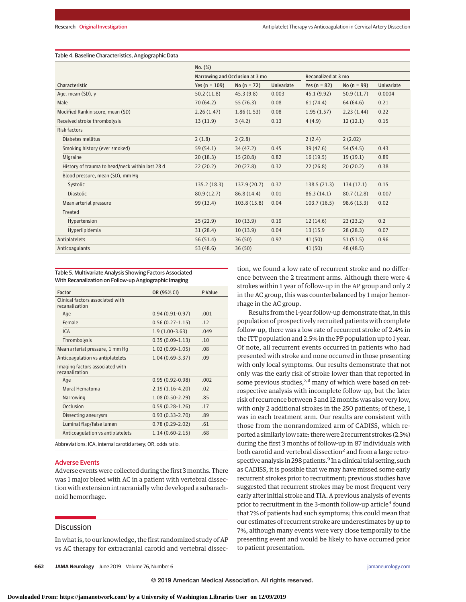# Table 4. Baseline Characteristics, Angiographic Data

|                                                 | No. (%)                         |               |                   |                     |               |                   |
|-------------------------------------------------|---------------------------------|---------------|-------------------|---------------------|---------------|-------------------|
|                                                 | Narrowing and Occlusion at 3 mo |               |                   | Recanalized at 3 mo |               |                   |
| Characteristic                                  | Yes ( $n = 109$ )               | No $(n = 72)$ | <b>Univariate</b> | Yes ( $n = 82$ )    | No $(n = 99)$ | <b>Univariate</b> |
| Age, mean (SD), y                               | 50.2(11.8)                      | 45.3(9.8)     | 0.003             | 45.1 (9.92)         | 50.9(11.7)    | 0.0004            |
| Male                                            | 70(64.2)                        | 55(76.3)      | 0.08              | 61(74.4)            | 64(64.6)      | 0.21              |
| Modified Rankin score, mean (SD)                | 2.26(1.47)                      | 1.86(1.53)    | 0.08              | 1.95(1.57)          | 2.23(1.44)    | 0.22              |
| Received stroke thrombolysis                    | 13(11.9)                        | 3(4.2)        | 0.13              | 4(4.9)              | 12(12.1)      | 0.15              |
| <b>Risk factors</b>                             |                                 |               |                   |                     |               |                   |
| Diabetes mellitus                               | 2(1.8)                          | 2(2.8)        |                   | 2(2.4)              | 2(2.02)       |                   |
| Smoking history (ever smoked)                   | 59(54.1)                        | 34(47.2)      | 0.45              | 39(47.6)            | 54 (54.5)     | 0.43              |
| Migraine                                        | 20(18.3)                        | 15(20.8)      | 0.82              | 16(19.5)            | 19(19.1)      | 0.89              |
| History of trauma to head/neck within last 28 d | 22(20.2)                        | 20(27.8)      | 0.32              | 22(26.8)            | 20(20.2)      | 0.38              |
| Blood pressure, mean (SD), mm Hq                |                                 |               |                   |                     |               |                   |
| Systolic                                        | 135.2(18.3)                     | 137.9 (20.7)  | 0.37              | 138.5(21.3)         | 134(17.1)     | 0.15              |
| <b>Diastolic</b>                                | 80.9(12.7)                      | 86.8 (14.4)   | 0.01              | 86.3(14.1)          | 80.7(12.8)    | 0.007             |
| Mean arterial pressure                          | 99(13.4)                        | 103.8 (15.8)  | 0.04              | 103.7(16.5)         | 98.6(13.3)    | 0.02              |
| Treated                                         |                                 |               |                   |                     |               |                   |
| Hypertension                                    | 25(22.9)                        | 10(13.9)      | 0.19              | 12(14.6)            | 23(23.2)      | 0.2               |
| Hyperlipidemia                                  | 31(28.4)                        | 10(13.9)      | 0.04              | 13 (15.9)           | 28(28.3)      | 0.07              |
| Antiplatelets                                   | 56(51.4)                        | 36(50)        | 0.97              | 41(50)              | 51(51.5)      | 0.96              |
| Anticoagulants                                  | 53(48.6)                        | 36(50)        |                   | 41(50)              | 48 (48.5)     |                   |

Table 5. Multivariate Analysis Showing Factors Associated With Recanalization on Follow-up Angiographic Imaging

| <b>Factor</b>                                      | OR (95% CI)         | P Value |
|----------------------------------------------------|---------------------|---------|
| Clinical factors associated with<br>recanalization |                     |         |
| Age                                                | $0.94(0.91-0.97)$   | .001    |
| Female                                             | $0.56(0.27-1.15)$   | .12     |
| <b>ICA</b>                                         | $1.9(1.00-3.63)$    | .049    |
| Thrombolysis                                       | $0.35(0.09-1.13)$   | .10     |
| Mean arterial pressure, 1 mm Hg                    | $1.02(0.99-1.05)$   | .08     |
| Anticoagulation vs antiplatelets                   | $1.04(0.69-3.37)$   | .09     |
| Imaging factors associated with<br>recanalization  |                     |         |
| Age                                                | $0.95(0.92 - 0.98)$ | .002    |
| Mural Hematoma                                     | $2.19(1.16-4.20)$   | .02     |
| Narrowing                                          | $1.08(0.50-2.29)$   | .85     |
| Occlusion                                          | $0.59(0.28-1.26)$   | .17     |
| Dissecting aneurysm                                | $0.93(0.33 - 2.70)$ | .89     |
| Luminal flap/false lumen                           | $0.78(0.29-2.02)$   | .61     |
| Anticoagulation vs antiplatelets                   | $1.14(0.60-2.15)$   | .68     |

Abbreviations: ICA, internal carotid artery; OR, odds ratio.

# Adverse Events

Adverse events were collected during the first 3months. There was 1 major bleed with AC in a patient with vertebral dissection with extension intracranially who developed a subarachnoid hemorrhage.

## **Discussion**

In what is, to our knowledge, the first randomized study of AP vs AC therapy for extracranial carotid and vertebral dissec-

**662 JAMA Neurology** June 2019 Volume 76, Number 6 **(Reprinted)** [jamaneurology.com](http://www.jamaneurology.com/?utm_campaign=articlePDF%26utm_medium=articlePDFlink%26utm_source=articlePDF%26utm_content=jamaneurol.2019.0072)

tion, we found a low rate of recurrent stroke and no difference between the 2 treatment arms. Although there were 4 strokes within 1 year of follow-up in the AP group and only 2 in the AC group, this was counterbalanced by 1 major hemorrhage in the AC group.

Results from the 1-year follow-up demonstrate that, in this population of prospectively recruited patients with complete follow-up, there was a low rate of recurrent stroke of 2.4% in the ITT population and 2.5% in the PP population up to 1 year. Of note, all recurrent events occurred in patients who had presented with stroke and none occurred in those presenting with only local symptoms. Our results demonstrate that not only was the early risk of stroke lower than that reported in some previous studies, $7,8$  many of which were based on retrospective analysis with incomplete follow-up, but the later risk of recurrence between 3 and 12 months was also very low, with only 2 additional strokes in the 250 patients; of these, 1 was in each treatment arm. Our results are consistent with those from the nonrandomized arm of CADISS, which reported a similarly low rate: therewere 2 recurrent strokes (2.3%) during the first 3 months of follow-up in 87 individuals with both carotid and vertebral dissection<sup>2</sup> and from a large retrospective analysis in 298 patients.<sup>9</sup> In a clinical trial setting, such as CADISS, it is possible that we may have missed some early recurrent strokes prior to recruitment; previous studies have suggested that recurrent strokes may be most frequent very early after initial stroke and TIA. A previous analysis of events prior to recruitment in the 3-month follow-up article<sup>4</sup> found that 7% of patients had such symptoms; this could mean that our estimates of recurrent stroke are underestimates by up to 7%, although many events were very close temporally to the presenting event and would be likely to have occurred prior to patient presentation.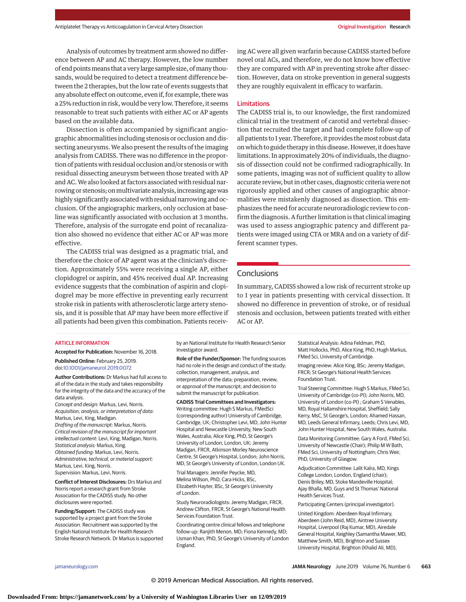Analysis of outcomes by treatment arm showed no difference between AP and AC therapy. However, the low number of end points means that a very large sample size, of many thousands, would be required to detect a treatment difference between the 2 therapies, but the low rate of events suggests that any absolute effect on outcome, even if, for example, there was a 25% reduction in risk, would be very low. Therefore, it seems reasonable to treat such patients with either AC or AP agents based on the available data.

Dissection is often accompanied by significant angiographic abnormalities including stenosis or occlusion and dissecting aneurysms. We also present the results of the imaging analysis from CADISS. There was no difference in the proportion of patients with residual occlusion and/or stenosis or with residual dissecting aneurysm between those treated with AP and AC.We also looked at factors associated with residual narrowing or stenosis; on multivariate analysis, increasing age was highly significantly associated with residual narrowing and occlusion. Of the angiographic markers, only occlusion at baseline was significantly associated with occlusion at 3 months. Therefore, analysis of the surrogate end point of recanalization also showed no evidence that either AC or AP was more effective.

The CADISS trial was designed as a pragmatic trial, and therefore the choice of AP agent was at the clinician's discretion. Approximately 55% were receiving a single AP, either clopidogrel or aspirin, and 45% received dual AP. Increasing evidence suggests that the combination of aspirin and clopidogrel may be more effective in preventing early recurrent stroke risk in patients with atherosclerotic large artery stenosis, and it is possible that AP may have been more effective if all patients had been given this combination. Patients receiving AC were all given warfarin because CADISS started before novel oral ACs, and therefore, we do not know how effective they are compared with AP in preventing stroke after dissection. However, data on stroke prevention in general suggests they are roughly equivalent in efficacy to warfarin.

#### Limitations

The CADISS trial is, to our knowledge, the first randomized clinical trial in the treatment of carotid and vertebral dissection that recruited the target and had complete follow-up of all patients to 1 year. Therefore, it provides themost robust data on which to guide therapy in this disease. However, it does have limitations. In approximately 20% of individuals, the diagnosis of dissection could not be confirmed radiographically. In some patients, imaging was not of sufficient quality to allow accurate review, but in other cases, diagnostic criteria were not rigorously applied and other causes of angiographic abnormalities were mistakenly diagnosed as dissection. This emphasizes the need for accurate neuroradiologic review to confirm the diagnosis. A further limitation is that clinical imaging was used to assess angiographic patency and different patients were imaged using CTA or MRA and on a variety of different scanner types.

# **Conclusions**

In summary, CADISS showed a low risk of recurrent stroke up to 1 year in patients presenting with cervical dissection. It showed no difference in prevention of stroke, or of residual stenosis and occlusion, between patients treated with either AC or AP.

#### ARTICLE INFORMATION

**Accepted for Publication:** November 16, 2018.

**Published Online:** February 25, 2019. doi[:10.1001/jamaneurol.2019.0072](https://jama.jamanetwork.com/article.aspx?doi=10.1001/jamaneurol.2019.0072&utm_campaign=articlePDF%26utm_medium=articlePDFlink%26utm_source=articlePDF%26utm_content=jamaneurol.2019.0072)

**Author Contributions:** Dr Markus had full access to all of the data in the study and takes responsibility for the integrity of the data and the accuracy of the data analysis.

Concept and design: Markus, Levi, Norris. Acquisition, analysis, or interpretation of data: Markus, Levi, King, Madigan. Drafting of the manuscript: Markus, Norris. Critical revision of the manuscript for important intellectual content: Levi, King, Madigan, Norris. Statistical analysis: Markus, King. Obtained funding: Markus, Levi, Norris. Administrative, technical, or material support: Markus, Levi, King, Norris. Supervision: Markus, Levi, Norris.

**Conflict of Interest Disclosures:** Drs Markus and Norris report a research grant from Stroke Association for the CADISS study. No other disclosures were reported.

**Funding/Support:** The CADISS study was supported by a project grant from the Stroke Association. Recruitment was supported by the English National Institute for Health Research Stroke Research Network. Dr Markus is supported by an National Institute for Health Research Senior Investigator award.

**Role of the Funder/Sponsor:** The funding sources had no role in the design and conduct of the study; collection, management, analysis, and interpretation of the data; preparation, review, or approval of the manuscript; and decision to submit the manuscript for publication.

**CADISS Trial Committees and Investigators:** Writing committee: Hugh S Markus, FMedSci (corresponding author) University of Cambridge, Cambridge, UK; Christopher Levi, MD, John Hunter Hospital and Newcastle University, New South Wales, Australia; Alice King, PhD, St George's University of London, London, UK; Jeremy Madigan, FRCR, Atkinson Morley Neuroscience Centre, St George's Hospital, London; John Norris, MD, St George's University of London, London UK.

Trial Managers: Jennifer Peycke, MD, Melina Willson, PhD, Cara Hicks, BSc, Elizabeth Hayter, BSc, St George's University of London.

Study Neuroradiologists: Jeremy Madigan, FRCR, Andrew Clifton, FRCR, St George's National Health Services Foundation Trust.

Coordinating centre clinical fellows and telephone follow-up: Ranjith Menon, MD; Fiona Kennedy, MD; Usman Khan, PhD, St George's University of London England.

Statistical Analysis: Adina Feldman, PhD, Matt Hollocks, PhD, Alice King, PhD, Hugh Markus, FMed Sci, University of Cambridge.

Imaging review: Alice King, BSc; Jeremy Madigan, FRCR; St George's National Health Services Foundation Trust.

Trial Steering Committee: Hugh S Markus, FMed Sci, University of Cambridge (co-PI); John Norris, MD, University of London (co-PI) ; Graham S Venables, MD, Royal Hallamshire Hospital, Sheffield; Sally Kerry, MsC, St George's, London; Ahamed Hassan, MD, Leeds General Infirmary, Leeds; Chris Levi, MD, John Hunter Hospital, New South Wales, Australia.

Data Monitoring Committee: Gary A Ford, FMed Sci, University of Newcastle (Chair); Philip M W Bath, FMed Sci, University of Nottingham; Chris Weir, PhD, University of Glasgow.

Adjudication Committee: Lalit Kalra, MD, Kings College London, London, England (chair); Denis Briley, MD, Stoke Mandeville Hospital; Ajay Bhalla, MD, Guys and St Thomas' National Health Services Trust.

Participating Centers (principal investigator).

United Kingdom: Aberdeen Royal Infirmary, Aberdeen (John Reid, MD), Aintree University Hospital, Liverpool (Raj Kumar, MD), Airedale General Hospital, Keighley (Samantha Mawer, MD, Matthew Smith, MD), Brighton and Sussex University Hospital, Brighton (Khalid Ali, MD),